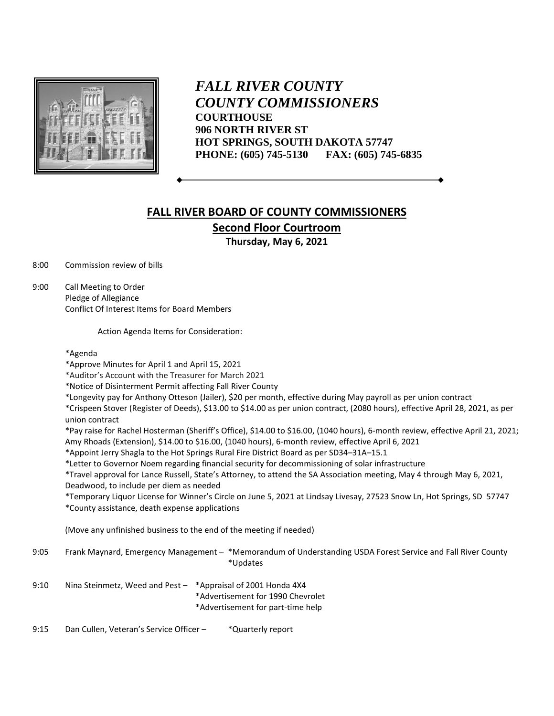

*FALL RIVER COUNTY COUNTY COMMISSIONERS* **COURTHOUSE 906 NORTH RIVER ST HOT SPRINGS, SOUTH DAKOTA 57747 PHONE: (605) 745-5130 FAX: (605) 745-6835**

## **FALL RIVER BOARD OF COUNTY COMMISSIONERS Second Floor Courtroom**

**Thursday, May 6, 2021**

8:00 Commission review of bills

9:00 Call Meeting to Order Pledge of Allegiance Conflict Of Interest Items for Board Members

Action Agenda Items for Consideration:

## \*Agenda

\*Approve Minutes for April 1 and April 15, 2021

\*Auditor's Account with the Treasurer for March 2021

\*Notice of Disinterment Permit affecting Fall River County

\*Longevity pay for Anthony Otteson (Jailer), \$20 per month, effective during May payroll as per union contract

\*Crispeen Stover (Register of Deeds), \$13.00 to \$14.00 as per union contract, (2080 hours), effective April 28, 2021, as per union contract

\*Pay raise for Rachel Hosterman (Sheriff's Office), \$14.00 to \$16.00, (1040 hours), 6-month review, effective April 21, 2021; Amy Rhoads (Extension), \$14.00 to \$16.00, (1040 hours), 6-month review, effective April 6, 2021

\*Appoint Jerry Shagla to the Hot Springs Rural Fire District Board as per SD34–31A–15.1

\*Letter to Governor Noem regarding financial security for decommissioning of solar infrastructure

\*Travel approval for Lance Russell, State's Attorney, to attend the SA Association meeting, May 4 through May 6, 2021, Deadwood, to include per diem as needed

\*Temporary Liquor License for Winner's Circle on June 5, 2021 at Lindsay Livesay, 27523 Snow Ln, Hot Springs, SD 57747 \*County assistance, death expense applications

(Move any unfinished business to the end of the meeting if needed)

- 9:05 Frank Maynard, Emergency Management \*Memorandum of Understanding USDA Forest Service and Fall River County \*Updates
- 9:10 Nina Steinmetz, Weed and Pest \*Appraisal of 2001 Honda 4X4 \*Advertisement for 1990 Chevrolet \*Advertisement for part-time help

9:15 Dan Cullen, Veteran's Service Officer - \* Quarterly report